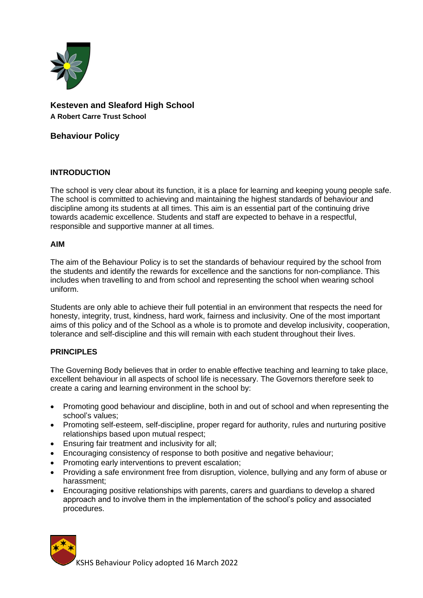

# **Kesteven and Sleaford High School A Robert Carre Trust School**

**Behaviour Policy**

# **INTRODUCTION**

The school is very clear about its function, it is a place for learning and keeping young people safe. The school is committed to achieving and maintaining the highest standards of behaviour and discipline among its students at all times. This aim is an essential part of the continuing drive towards academic excellence. Students and staff are expected to behave in a respectful, responsible and supportive manner at all times.

### **AIM**

The aim of the Behaviour Policy is to set the standards of behaviour required by the school from the students and identify the rewards for excellence and the sanctions for non-compliance. This includes when travelling to and from school and representing the school when wearing school uniform.

Students are only able to achieve their full potential in an environment that respects the need for honesty, integrity, trust, kindness, hard work, fairness and inclusivity. One of the most important aims of this policy and of the School as a whole is to promote and develop inclusivity, cooperation, tolerance and self-discipline and this will remain with each student throughout their lives.

# **PRINCIPLES**

The Governing Body believes that in order to enable effective teaching and learning to take place, excellent behaviour in all aspects of school life is necessary. The Governors therefore seek to create a caring and learning environment in the school by:

- Promoting good behaviour and discipline, both in and out of school and when representing the school's values;
- Promoting self-esteem, self-discipline, proper regard for authority, rules and nurturing positive relationships based upon mutual respect;
- Ensuring fair treatment and inclusivity for all;
- Encouraging consistency of response to both positive and negative behaviour;
- Promoting early interventions to prevent escalation;
- Providing a safe environment free from disruption, violence, bullying and any form of abuse or harassment;
- Encouraging positive relationships with parents, carers and guardians to develop a shared approach and to involve them in the implementation of the school's policy and associated procedures.

KSHS Behaviour Policy adopted 16 March 2022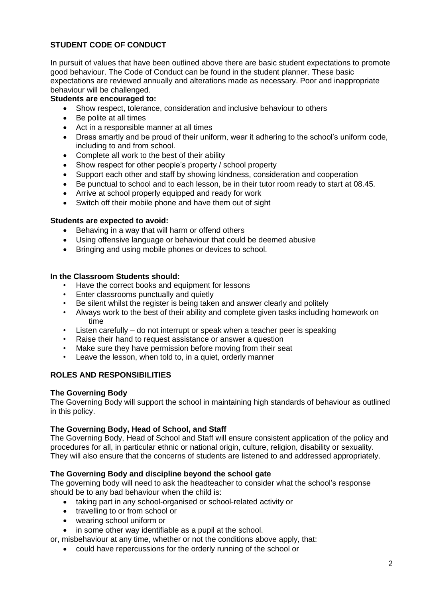# **STUDENT CODE OF CONDUCT**

In pursuit of values that have been outlined above there are basic student expectations to promote good behaviour. The Code of Conduct can be found in the student planner. These basic expectations are reviewed annually and alterations made as necessary. Poor and inappropriate behaviour will be challenged.

## **Students are encouraged to:**

- Show respect, tolerance, consideration and inclusive behaviour to others
- Be polite at all times
- Act in a responsible manner at all times
- Dress smartly and be proud of their uniform, wear it adhering to the school's uniform code, including to and from school.
- Complete all work to the best of their ability
- Show respect for other people's property / school property
- Support each other and staff by showing kindness, consideration and cooperation
- Be punctual to school and to each lesson, be in their tutor room ready to start at 08.45.
- Arrive at school properly equipped and ready for work
- Switch off their mobile phone and have them out of sight

### **Students are expected to avoid:**

- Behaving in a way that will harm or offend others
- Using offensive language or behaviour that could be deemed abusive
- Bringing and using mobile phones or devices to school.

### **In the Classroom Students should:**

- Have the correct books and equipment for lessons
- Enter classrooms punctually and quietly
- Be silent whilst the register is being taken and answer clearly and politely
- Always work to the best of their ability and complete given tasks including homework on time
- Listen carefully do not interrupt or speak when a teacher peer is speaking
- Raise their hand to request assistance or answer a question
- Make sure they have permission before moving from their seat
- Leave the lesson, when told to, in a quiet, orderly manner

# **ROLES AND RESPONSIBILITIES**

### **The Governing Body**

The Governing Body will support the school in maintaining high standards of behaviour as outlined in this policy.

### **The Governing Body, Head of School, and Staff**

The Governing Body, Head of School and Staff will ensure consistent application of the policy and procedures for all, in particular ethnic or national origin, culture, religion, disability or sexuality. They will also ensure that the concerns of students are listened to and addressed appropriately.

# **The Governing Body and discipline beyond the school gate**

The governing body will need to ask the headteacher to consider what the school's response should be to any bad behaviour when the child is:

- taking part in any school-organised or school-related activity or
- travelling to or from school or
- wearing school uniform or
- in some other way identifiable as a pupil at the school.

or, misbehaviour at any time, whether or not the conditions above apply, that:

• could have repercussions for the orderly running of the school or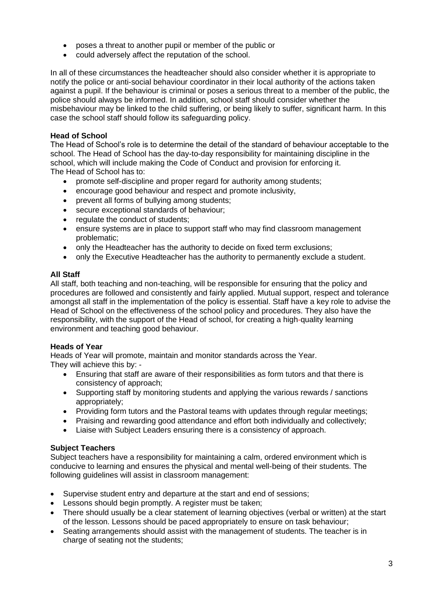- poses a threat to another pupil or member of the public or
- could adversely affect the reputation of the school.

In all of these circumstances the headteacher should also consider whether it is appropriate to notify the police or anti-social behaviour coordinator in their local authority of the actions taken against a pupil. If the behaviour is criminal or poses a serious threat to a member of the public, the police should always be informed. In addition, school staff should consider whether the misbehaviour may be linked to the child suffering, or being likely to suffer, significant harm. In this case the school staff should follow its safeguarding policy.

# **Head of School**

The Head of School's role is to determine the detail of the standard of behaviour acceptable to the school. The Head of School has the day-to-day responsibility for maintaining discipline in the school, which will include making the Code of Conduct and provision for enforcing it. The Head of School has to:

- promote self-discipline and proper regard for authority among students;
- encourage good behaviour and respect and promote inclusivity,
- prevent all forms of bullying among students;
- secure exceptional standards of behaviour;
- regulate the conduct of students;
- ensure systems are in place to support staff who may find classroom management problematic;
- only the Headteacher has the authority to decide on fixed term exclusions;
- only the Executive Headteacher has the authority to permanently exclude a student.

# **All Staff**

All staff, both teaching and non-teaching, will be responsible for ensuring that the policy and procedures are followed and consistently and fairly applied. Mutual support, respect and tolerance amongst all staff in the implementation of the policy is essential. Staff have a key role to advise the Head of School on the effectiveness of the school policy and procedures. They also have the responsibility, with the support of the Head of school, for creating a high-quality learning environment and teaching good behaviour.

### **Heads of Year**

Heads of Year will promote, maintain and monitor standards across the Year. They will achieve this by: -

- Ensuring that staff are aware of their responsibilities as form tutors and that there is consistency of approach;
- Supporting staff by monitoring students and applying the various rewards / sanctions appropriately;
- Providing form tutors and the Pastoral teams with updates through regular meetings:
- Praising and rewarding good attendance and effort both individually and collectively;
- Liaise with Subject Leaders ensuring there is a consistency of approach.

### **Subject Teachers**

Subject teachers have a responsibility for maintaining a calm, ordered environment which is conducive to learning and ensures the physical and mental well-being of their students. The following guidelines will assist in classroom management:

- Supervise student entry and departure at the start and end of sessions;
- Lessons should begin promptly. A register must be taken;
- There should usually be a clear statement of learning objectives (verbal or written) at the start of the lesson. Lessons should be paced appropriately to ensure on task behaviour;
- Seating arrangements should assist with the management of students. The teacher is in charge of seating not the students;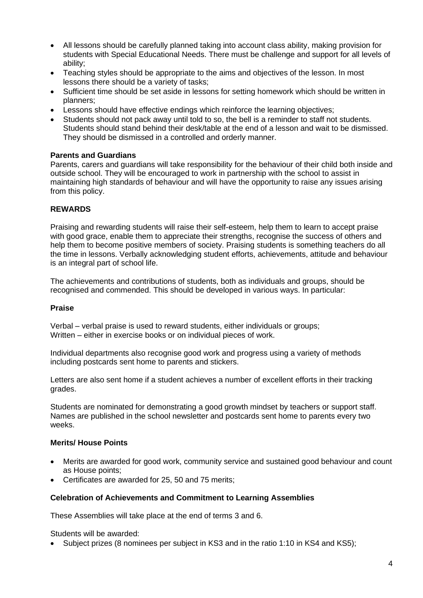- All lessons should be carefully planned taking into account class ability, making provision for students with Special Educational Needs. There must be challenge and support for all levels of ability;
- Teaching styles should be appropriate to the aims and objectives of the lesson. In most lessons there should be a variety of tasks;
- Sufficient time should be set aside in lessons for setting homework which should be written in planners;
- Lessons should have effective endings which reinforce the learning objectives;
- Students should not pack away until told to so, the bell is a reminder to staff not students. Students should stand behind their desk/table at the end of a lesson and wait to be dismissed. They should be dismissed in a controlled and orderly manner.

### **Parents and Guardians**

Parents, carers and guardians will take responsibility for the behaviour of their child both inside and outside school. They will be encouraged to work in partnership with the school to assist in maintaining high standards of behaviour and will have the opportunity to raise any issues arising from this policy.

### **REWARDS**

Praising and rewarding students will raise their self-esteem, help them to learn to accept praise with good grace, enable them to appreciate their strengths, recognise the success of others and help them to become positive members of society. Praising students is something teachers do all the time in lessons. Verbally acknowledging student efforts, achievements, attitude and behaviour is an integral part of school life.

The achievements and contributions of students, both as individuals and groups, should be recognised and commended. This should be developed in various ways. In particular:

### **Praise**

Verbal – verbal praise is used to reward students, either individuals or groups; Written – either in exercise books or on individual pieces of work.

Individual departments also recognise good work and progress using a variety of methods including postcards sent home to parents and stickers.

Letters are also sent home if a student achieves a number of excellent efforts in their tracking grades.

Students are nominated for demonstrating a good growth mindset by teachers or support staff. Names are published in the school newsletter and postcards sent home to parents every two weeks.

### **Merits/ House Points**

- Merits are awarded for good work, community service and sustained good behaviour and count as House points;
- Certificates are awarded for 25, 50 and 75 merits;

### **Celebration of Achievements and Commitment to Learning Assemblies**

These Assemblies will take place at the end of terms 3 and 6.

Students will be awarded:

• Subject prizes (8 nominees per subject in KS3 and in the ratio 1:10 in KS4 and KS5);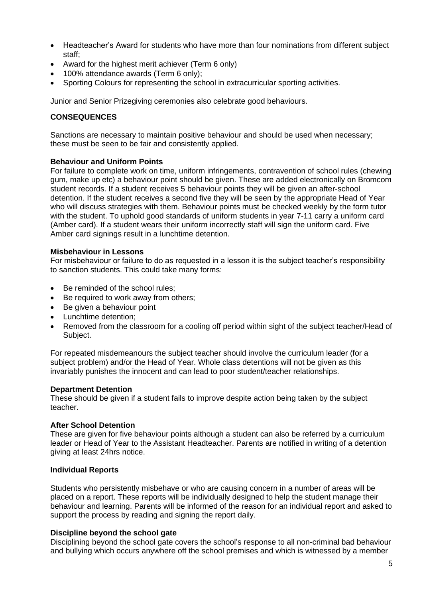- Headteacher's Award for students who have more than four nominations from different subject staff;
- Award for the highest merit achiever (Term 6 only)
- 100% attendance awards (Term 6 only);
- Sporting Colours for representing the school in extracurricular sporting activities.

Junior and Senior Prizegiving ceremonies also celebrate good behaviours.

### **CONSEQUENCES**

Sanctions are necessary to maintain positive behaviour and should be used when necessary; these must be seen to be fair and consistently applied.

#### **Behaviour and Uniform Points**

For failure to complete work on time, uniform infringements, contravention of school rules (chewing gum, make up etc) a behaviour point should be given. These are added electronically on Bromcom student records. If a student receives 5 behaviour points they will be given an after-school detention. If the student receives a second five they will be seen by the appropriate Head of Year who will discuss strategies with them. Behaviour points must be checked weekly by the form tutor with the student. To uphold good standards of uniform students in year 7-11 carry a uniform card (Amber card). If a student wears their uniform incorrectly staff will sign the uniform card. Five Amber card signings result in a lunchtime detention.

#### **Misbehaviour in Lessons**

For misbehaviour or failure to do as requested in a lesson it is the subject teacher's responsibility to sanction students. This could take many forms:

- Be reminded of the school rules;
- Be required to work away from others:
- Be given a behaviour point
- Lunchtime detention;
- Removed from the classroom for a cooling off period within sight of the subject teacher/Head of Subject.

For repeated misdemeanours the subject teacher should involve the curriculum leader (for a subject problem) and/or the Head of Year. Whole class detentions will not be given as this invariably punishes the innocent and can lead to poor student/teacher relationships.

#### **Department Detention**

These should be given if a student fails to improve despite action being taken by the subject teacher.

#### **After School Detention**

These are given for five behaviour points although a student can also be referred by a curriculum leader or Head of Year to the Assistant Headteacher. Parents are notified in writing of a detention giving at least 24hrs notice.

### **Individual Reports**

Students who persistently misbehave or who are causing concern in a number of areas will be placed on a report. These reports will be individually designed to help the student manage their behaviour and learning. Parents will be informed of the reason for an individual report and asked to support the process by reading and signing the report daily.

### **Discipline beyond the school gate**

Disciplining beyond the school gate covers the school's response to all non-criminal bad behaviour and bullying which occurs anywhere off the school premises and which is witnessed by a member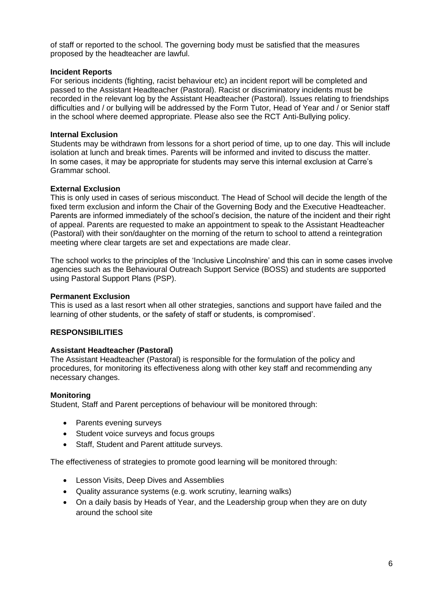of staff or reported to the school. The governing body must be satisfied that the measures proposed by the headteacher are lawful.

### **Incident Reports**

For serious incidents (fighting, racist behaviour etc) an incident report will be completed and passed to the Assistant Headteacher (Pastoral). Racist or discriminatory incidents must be recorded in the relevant log by the Assistant Headteacher (Pastoral). Issues relating to friendships difficulties and / or bullying will be addressed by the Form Tutor, Head of Year and / or Senior staff in the school where deemed appropriate. Please also see the RCT Anti-Bullying policy.

#### **Internal Exclusion**

Students may be withdrawn from lessons for a short period of time, up to one day. This will include isolation at lunch and break times. Parents will be informed and invited to discuss the matter. In some cases, it may be appropriate for students may serve this internal exclusion at Carre's Grammar school.

#### **External Exclusion**

This is only used in cases of serious misconduct. The Head of School will decide the length of the fixed term exclusion and inform the Chair of the Governing Body and the Executive Headteacher. Parents are informed immediately of the school's decision, the nature of the incident and their right of appeal. Parents are requested to make an appointment to speak to the Assistant Headteacher (Pastoral) with their son/daughter on the morning of the return to school to attend a reintegration meeting where clear targets are set and expectations are made clear.

The school works to the principles of the 'Inclusive Lincolnshire' and this can in some cases involve agencies such as the Behavioural Outreach Support Service (BOSS) and students are supported using Pastoral Support Plans (PSP).

#### **Permanent Exclusion**

This is used as a last resort when all other strategies, sanctions and support have failed and the learning of other students, or the safety of staff or students, is compromised'.

### **RESPONSIBILITIES**

#### **Assistant Headteacher (Pastoral)**

The Assistant Headteacher (Pastoral) is responsible for the formulation of the policy and procedures, for monitoring its effectiveness along with other key staff and recommending any necessary changes.

#### **Monitoring**

Student, Staff and Parent perceptions of behaviour will be monitored through:

- Parents evening surveys
- Student voice surveys and focus groups
- Staff, Student and Parent attitude surveys.

The effectiveness of strategies to promote good learning will be monitored through:

- Lesson Visits, Deep Dives and Assemblies
- Quality assurance systems (e.g. work scrutiny, learning walks)
- On a daily basis by Heads of Year, and the Leadership group when they are on duty around the school site